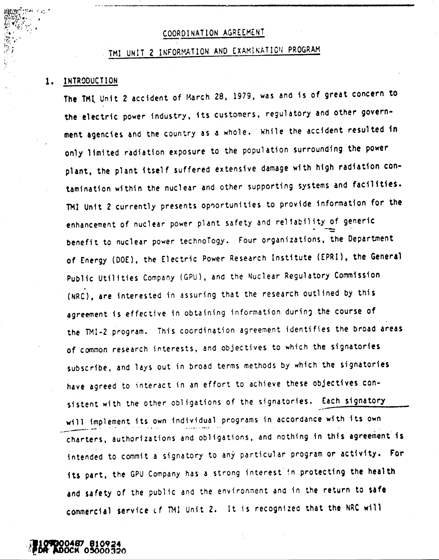## COORDINATION AGREEMENT

-\_ <sup>~</sup>..\_-~~.\_------\_.-... ..\_,\_ ..•... "--------------

# COORDINATION AGREEMENT<br>TMI UNIT 2 INFORMATION AND EXAMINATION PROGRAM

### 1. INTRODUCTION

*'i*

The TMI Unit 2 accident of March 28, 1979, was and is of great concern to the electric power industry, its customers, regulatory and other government agencies and the country as a whole. While the accident resulted in only limited radiation exposure to the population surrounding the power plant. the plant itself suffered extensive damage with high radiation contamination within the nuclear and other supporting systems and facilities. TMI Unit 2 currently presents opportunities to provide information for the enhancement of nuclear power plant safety and rel1ability of generic - -- benefit to nuclear power technoTogy. Four organizations. the Department of £nergy (DOE), the Electric Power Research Institute (EPRI). the General Public Utilities Company (GPU), and the Nuclear Regulatory Commission (NRC), are interested in assuring that the research outlined by this agreement is effective in obtaining information during the course of the TMI-2 program. This coordination agreement identifies the broad areas of common research interests, and objectives to which the signatories subscribe, and lays out in broad terms methods by which the signatories have agreed to interact in an effort to achieve these objectives consistent with the other obligations of the signatories. Each signatory will implement its own individual programs in accordance with its own charters. authorizations and obligations. and nothing in this agreement is intended to commit a signatory to any particular program or activity. For its part, the GPU Company has a strong interest in protecting the health and safety of the public and the environment and in the return to safe commercial service of TMI Unit 2. It is recognized that the NRC will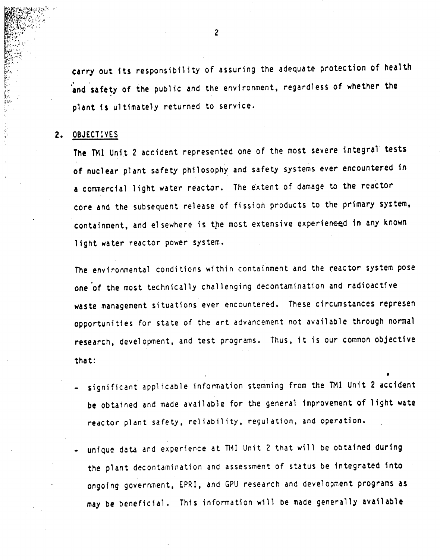carry out its responsibility of assuring the adequate protection of health , ' and safety of the public and the environment, regardless of whether the  $\,$ plant is ul timately returned to service.

### 2. OBJECTIVES

f',.' I

> The 1M1 Unit 2 accident represented one of the most severe integral tests of nuclear plant safety philosophy and safety systems ever encountered in a commercial light water reactor. The extent of damage to the reactor core and the subsequent release of fission products to the primary system, containment, and elsewhere is the most extensive experienced in any known light water reactor power system.

The environmental conditions within containment and the reactor system pose one of the most technically challenging decontamination and radioactive waste management situations ever encountered. These circumstances represen opportunities for state of the art advancement not available through normal research, development, and test programs. Thus, it is our common objective that:

 $\textsf{-}$  significant applicable information stemming from the TMI Unit 2 accident be obtained and made available for the general improvement of light wate reactor plant safety, reliability, regulation, and operation.

•

unique data and experience at TMI Unit 2 that will be obtained during the plant decontamination and assessment of status be integrated into ongoing government, EPRI, and GPU research and development programs as may be beneficial. This information will be made generally available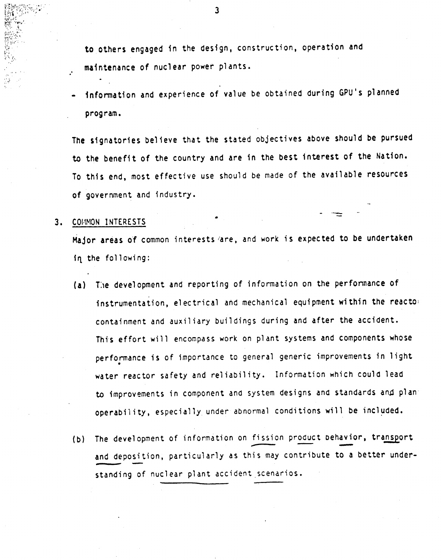to others engaged in the design, construction, operation and maintenance of nuclear power plants •

information and experience of value be obtained during GPU's planned program.

The signatories believe that the stated objectives above should be pursued to the benefit of the country and are in the best interest of the Nation. To this end, most effective use should be made of the available resources of government and industry.

## 3. COMMON INTERESTS

.'

Major areas of common interests *fare,* and worK is expected to be undertaken in the following:

- (a) The development and reporting of information on the performance of instrumentation, electrical and mechanical equipment within the reactOi containment and auxil iary buildings during and after the accident. This effort will encompass work on plant systems and components whose perfonnance is of importance to general generic improvements in light • water reactor safety and reliability. Information which could lead to improvements in component and system designs and standards and plan: operability, especially under abnormal conditions will be included.
- (b) The development of information on fission product behavior, transport operability, especially under abnormal conditions will be included.<br>The development of information on fission product behavior, transport<br>and deposition, particularly as this may contribute to a better understanding of nuclear plant accident,scenarios.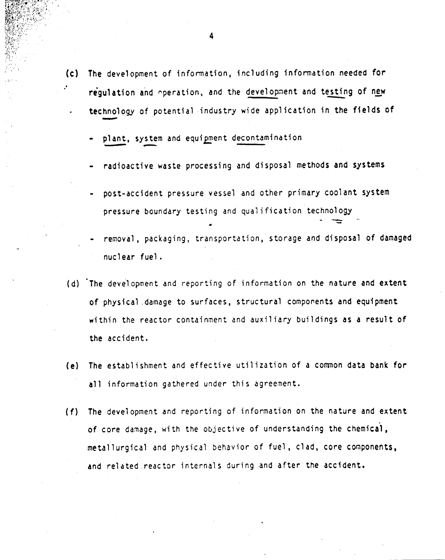- $(c)$ The development of information, including information needed *for* regulation and operation, and the development and testing of new The development of information, including information needed for<br>regulation and operation, and the development and testing of new<br>technology of potential industry wide application in the fields of ulat<br>hnol<br>-
	- plant, system and equipment decontamination

•

- radioactive waste processing and disposal methods and systems
- post-accident pressure vessel and other primary coolant system pressure boundary testing and qualification technology
- removal, packaging, transportation, storage and disposal of damaged nucl ear fuel.
- (d) The development and reporting of information on the nature and extent of physical damage to surfaces, structural components and equipment within the reactor containment and auxiliary buildings as a result of the accident.
- *(e)* The establishment and effective utilization of a common data bank for all information gathered under this agreement.
- *(f)* The development and reporting of information on the nature and extent of core damage, with the objective of understanding the chemical, metallurgical and physical behavior of fuel, clad, core components, and related reactor internals during and after the accident.

4

**Iliffi<sup>n</sup>o Anti-**<br>**Iliffino Anti-**<br>**Iliffino Anti-**<br>**Iliffino Anti-**<br>Iliffino Anti-<br>Iliffino Anti-

"

 $f_1 \sim$  $\mathbb{Z}^N$  .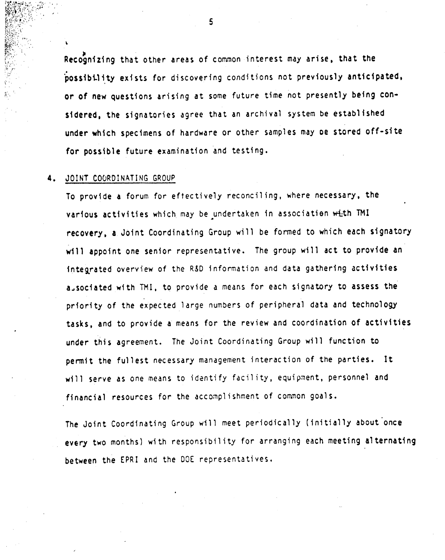Recognizing that other areas of common interest may arise, that the .<br>. possibility exists for discovering conditions not previously anticipated or of new questions arising at some future time not presently being considered, the signatories agree that an archival system be established under which specimens of hardware or other samples may oe stored off-site for possible future examination and testing.

### 4. JOINT COORDINATING GROUP

~.. ." "  $\sim$ 

\

To provide a forum for effectively reconcil ing. where necessary. the various activities which may be undertaken in association with TMI recovery, a Joint Coordinating Group will be formed to which each signatory will appoint one senior representative. The group will act to provide an integrated overview of the R&D information and data gathering activities aJsociated with TMI. to provide a means for each signatory to assess the priority of the expected large numbers of peripheral data and teChnology tasks, and to provide a means for the review and coordination of activities under this agreement. The Joint Coordinating Group will function to permit the fullest necessary management interaction of the parties. It will serve as one means to identify facility, equipment, personnel and financial resources for the accomplishment of common goals.

The Joint Coordinating Group will meet periodically (initially about once every two months) with responsibility for arranging each meeting alternating between the EPRI and the DOE representatives.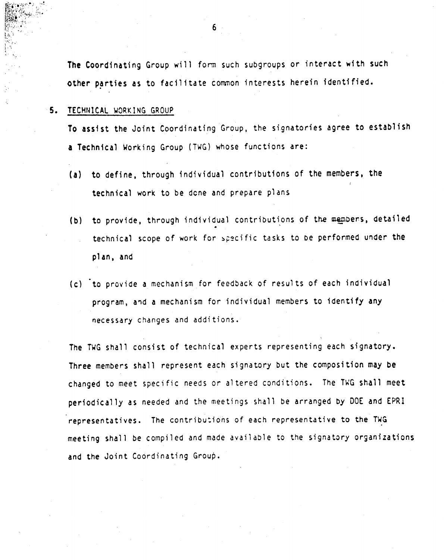The Coordinating Group will form such subgroups or interact with such other parties as to facilitate common interests herein identified.

## 5. TECHNICAL WORKING GROUP

To assist the Joint Coordinating Group. the signatories agree to establish a Technical Working Group (TWG) whose functions are:

- (a) to define. through individual contributions of the members, the technical work to be dcne and prepare plans
- (b) to provide, through individual contributions of the members, detailed technical scope of work for specific tasks to be performed under the plan, and
- (c) to provide a mechanism for feedback of results of each individual program, and a mechanism for individual members to identify any necessary changes and additions.

The TWG shall consist of technical experts representing each signatory. Three members shall represent each signatory but the composition may be changed to meet specific needs or altered conditions. The TWG shall meet periodically as needed and the meetings shall be arranged by DOE and EPRI representatives. The contributions of each representative to the TWG meeting shall be compiled and made available to the signatory organizations and the Joint Coordinating Group.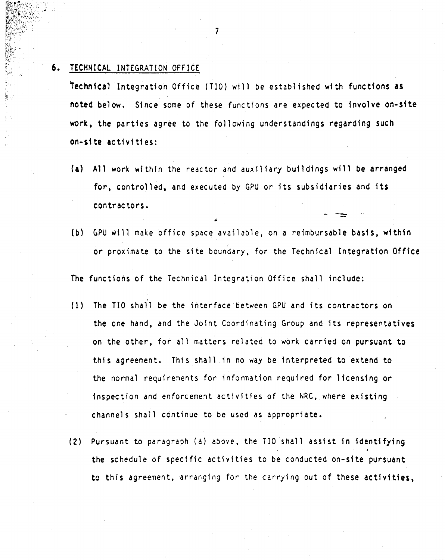### TECHNICAL INTEGRATION OFFICE 6.

technical Integration Office (TIO) will be established with functions as noted below. Since some of these functions are expected to involve on-site work. the parties agree to the following understandings regarding such on-site activities:

- (a) All work within the reactor and auxiliary buildings will be arranged for. controlled. and executed by GPU or its subsidiaries and its contractors.
- (b) GPU will make office space available, on a reimbursable basis, within or proximate to the site boundary, for the Technical Integration Office

The functions of the Technical Integration Office shall include:

- (1) The TI0 shall be the interface between GPU and its contractors on the one hand, and the Joint Coordinating Group and its representatives on the other, for all matters related to work carried on pursuant to this agreement. This shall in no way be interpreted to extend to the nonnal requirements for information required for licensing or inspection and enforcement activities of the NRC, where existing channels shall continue to be used as appropriate.
- (2) Pursuant to paragraph (a) above, the TID shall assist in identifying the schedule of specific activities to be conducted on-site pursuant to this agreement, arranging for the carrying out of these activities.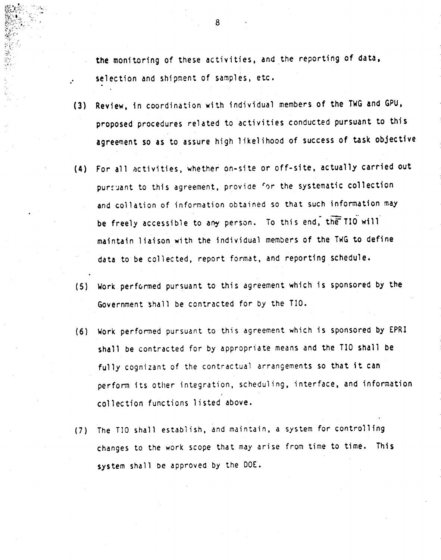the monitoring of these activities, and the reporting of data, selection and shipment of samples, etc.

- (3) Review, in coordination with individual members of the TwG and GPU. proposed procedures related to activities conducted pursuant to this agreement so as to assure high likelihood of success of task objective
- (4) For al' activities, whether on-site or off-site, actually carried out pursuant to this agreement, provide for the systematic collection and collation of information obtained so that such information may<br>be facely accordible to any person. To this end, the IIO will be freely accessible to any person. To this end, the TIO will maintain liaison with the individual members of the TwG to define data to be collected, report format, and reporting schedule.
- (5) Work performed pursuant to this agreement which is sponsored by the Government shal' be contracted for by the TID.
- (6) Work perfonned pursuaht to this agreement which is sponsored by EPRI shall be contracted for by appropriate means and the TID shall be fully cognizant of the contractual arrangements so that it can perform its other integration, scheduling, interface, and information collection functions listed above.
- (7) The TID shall establish, and maintain, a system for controlling changes to the work scope that may arise from time to time. This system shall be approved by the DOE.

8

 $,\,{}^{\ast}\!\!\downarrow_{\kappa_{\alpha-1}}$ !••  $k_{\rm so}$  $\frac{1}{2}$  :

.'